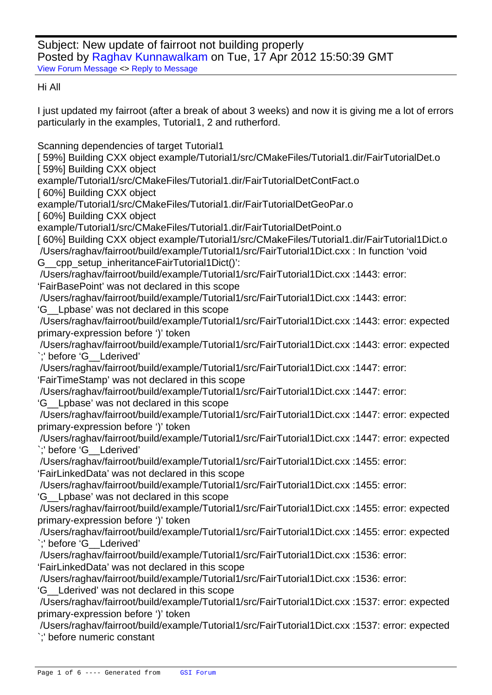Subject: New update of fairroot not building properly Posted by Raghav Kunnawalkam on Tue, 17 Apr 2012 15:50:39 GMT View Forum Message <> Reply to Message

Hi All

[I just updated my f](https://forum.gsi.de/index.php?t=rview&th=3529&goto=13359#msg_13359)air[root \(after a bre](https://forum.gsi.de/index.php?t=post&reply_to=13359)ak of about 3 weeks) and now it is giving me a lot of errors particularly in the examples, Tutorial1, 2 and rutherford.

Scanning dependencies of target Tutorial1

[59%] Building CXX object example/Tutorial1/src/CMakeFiles/Tutorial1.dir/FairTutorialDet.o [59%] Building CXX object

example/Tutorial1/src/CMakeFiles/Tutorial1.dir/FairTutorialDetContFact.o

[60%] Building CXX object

example/Tutorial1/src/CMakeFiles/Tutorial1.dir/FairTutorialDetGeoPar.o

[60%] Building CXX object

example/Tutorial1/src/CMakeFiles/Tutorial1.dir/FairTutorialDetPoint.o

[ 60%] Building CXX object example/Tutorial1/src/CMakeFiles/Tutorial1.dir/FairTutorial1Dict.o

 /Users/raghav/fairroot/build/example/Tutorial1/src/FairTutorial1Dict.cxx : In function 'void G cpp setup inheritanceFairTutorial1Dict()':

 /Users/raghav/fairroot/build/example/Tutorial1/src/FairTutorial1Dict.cxx :1443: error: 'FairBasePoint' was not declared in this scope

/Users/raghav/fairroot/build/example/Tutorial1/src/FairTutorial1Dict.cxx :1443: error:

'G\_\_Lpbase' was not declared in this scope

 /Users/raghav/fairroot/build/example/Tutorial1/src/FairTutorial1Dict.cxx :1443: error: expected primary-expression before ')' token

 /Users/raghav/fairroot/build/example/Tutorial1/src/FairTutorial1Dict.cxx :1443: error: expected `;' before 'G\_\_Lderived'

 /Users/raghav/fairroot/build/example/Tutorial1/src/FairTutorial1Dict.cxx :1447: error: 'FairTimeStamp' was not declared in this scope

/Users/raghav/fairroot/build/example/Tutorial1/src/FairTutorial1Dict.cxx :1447: error:

'G\_\_Lpbase' was not declared in this scope

 /Users/raghav/fairroot/build/example/Tutorial1/src/FairTutorial1Dict.cxx :1447: error: expected primary-expression before ')' token

 /Users/raghav/fairroot/build/example/Tutorial1/src/FairTutorial1Dict.cxx :1447: error: expected `;' before 'G\_\_Lderived'

 /Users/raghav/fairroot/build/example/Tutorial1/src/FairTutorial1Dict.cxx :1455: error: 'FairLinkedData' was not declared in this scope

/Users/raghav/fairroot/build/example/Tutorial1/src/FairTutorial1Dict.cxx :1455: error:

'G\_\_Lpbase' was not declared in this scope

 /Users/raghav/fairroot/build/example/Tutorial1/src/FairTutorial1Dict.cxx :1455: error: expected primary-expression before ')' token

 /Users/raghav/fairroot/build/example/Tutorial1/src/FairTutorial1Dict.cxx :1455: error: expected `;' before 'G\_\_Lderived'

 /Users/raghav/fairroot/build/example/Tutorial1/src/FairTutorial1Dict.cxx :1536: error: 'FairLinkedData' was not declared in this scope

/Users/raghav/fairroot/build/example/Tutorial1/src/FairTutorial1Dict.cxx :1536: error:

'G\_\_Lderived' was not declared in this scope

 /Users/raghav/fairroot/build/example/Tutorial1/src/FairTutorial1Dict.cxx :1537: error: expected primary-expression before ')' token

 /Users/raghav/fairroot/build/example/Tutorial1/src/FairTutorial1Dict.cxx :1537: error: expected `;' before numeric constant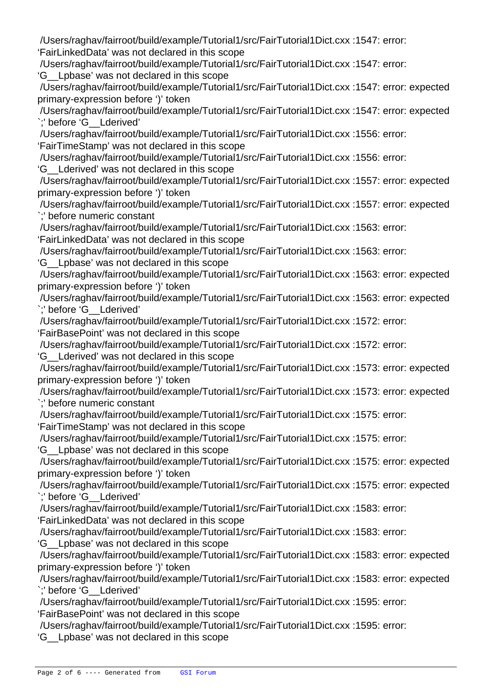/Users/raghav/fairroot/build/example/Tutorial1/src/FairTutorial1Dict.cxx :1547: error: 'FairLinkedData' was not declared in this scope

/Users/raghav/fairroot/build/example/Tutorial1/src/FairTutorial1Dict.cxx :1547: error:

'G\_\_Lpbase' was not declared in this scope

 /Users/raghav/fairroot/build/example/Tutorial1/src/FairTutorial1Dict.cxx :1547: error: expected primary-expression before ')' token

 /Users/raghav/fairroot/build/example/Tutorial1/src/FairTutorial1Dict.cxx :1547: error: expected `;' before 'G\_\_Lderived'

 /Users/raghav/fairroot/build/example/Tutorial1/src/FairTutorial1Dict.cxx :1556: error: 'FairTimeStamp' was not declared in this scope

/Users/raghav/fairroot/build/example/Tutorial1/src/FairTutorial1Dict.cxx :1556: error:

'G\_\_Lderived' was not declared in this scope

 /Users/raghav/fairroot/build/example/Tutorial1/src/FairTutorial1Dict.cxx :1557: error: expected primary-expression before ')' token

 /Users/raghav/fairroot/build/example/Tutorial1/src/FairTutorial1Dict.cxx :1557: error: expected `;' before numeric constant

 /Users/raghav/fairroot/build/example/Tutorial1/src/FairTutorial1Dict.cxx :1563: error: 'FairLinkedData' was not declared in this scope

/Users/raghav/fairroot/build/example/Tutorial1/src/FairTutorial1Dict.cxx :1563: error:

'G\_\_Lpbase' was not declared in this scope

 /Users/raghav/fairroot/build/example/Tutorial1/src/FairTutorial1Dict.cxx :1563: error: expected primary-expression before ')' token

 /Users/raghav/fairroot/build/example/Tutorial1/src/FairTutorial1Dict.cxx :1563: error: expected `;' before 'G\_\_Lderived'

 /Users/raghav/fairroot/build/example/Tutorial1/src/FairTutorial1Dict.cxx :1572: error: 'FairBasePoint' was not declared in this scope

/Users/raghav/fairroot/build/example/Tutorial1/src/FairTutorial1Dict.cxx :1572: error:

'G\_\_Lderived' was not declared in this scope

 /Users/raghav/fairroot/build/example/Tutorial1/src/FairTutorial1Dict.cxx :1573: error: expected primary-expression before ')' token

 /Users/raghav/fairroot/build/example/Tutorial1/src/FairTutorial1Dict.cxx :1573: error: expected `;' before numeric constant

/Users/raghav/fairroot/build/example/Tutorial1/src/FairTutorial1Dict.cxx :1575: error:

'FairTimeStamp' was not declared in this scope

/Users/raghav/fairroot/build/example/Tutorial1/src/FairTutorial1Dict.cxx :1575: error:

'G\_\_Lpbase' was not declared in this scope

 /Users/raghav/fairroot/build/example/Tutorial1/src/FairTutorial1Dict.cxx :1575: error: expected primary-expression before ')' token

 /Users/raghav/fairroot/build/example/Tutorial1/src/FairTutorial1Dict.cxx :1575: error: expected `;' before 'G\_\_Lderived'

/Users/raghav/fairroot/build/example/Tutorial1/src/FairTutorial1Dict.cxx :1583: error:

'FairLinkedData' was not declared in this scope

/Users/raghav/fairroot/build/example/Tutorial1/src/FairTutorial1Dict.cxx :1583: error:

'G\_\_Lpbase' was not declared in this scope

 /Users/raghav/fairroot/build/example/Tutorial1/src/FairTutorial1Dict.cxx :1583: error: expected primary-expression before ')' token

 /Users/raghav/fairroot/build/example/Tutorial1/src/FairTutorial1Dict.cxx :1583: error: expected `;' before 'G\_\_Lderived'

 /Users/raghav/fairroot/build/example/Tutorial1/src/FairTutorial1Dict.cxx :1595: error: 'FairBasePoint' was not declared in this scope

/Users/raghav/fairroot/build/example/Tutorial1/src/FairTutorial1Dict.cxx :1595: error:

'G\_\_Lpbase' was not declared in this scope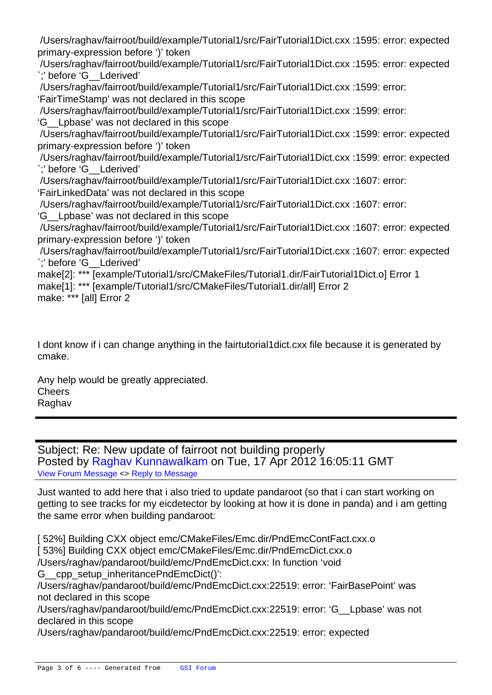/Users/raghav/fairroot/build/example/Tutorial1/src/FairTutorial1Dict.cxx :1595: error: expected primary-expression before ')' token

 /Users/raghav/fairroot/build/example/Tutorial1/src/FairTutorial1Dict.cxx :1595: error: expected `;' before 'G\_\_Lderived'

/Users/raghav/fairroot/build/example/Tutorial1/src/FairTutorial1Dict.cxx :1599: error:

'FairTimeStamp' was not declared in this scope

/Users/raghav/fairroot/build/example/Tutorial1/src/FairTutorial1Dict.cxx :1599: error:

'G\_\_Lpbase' was not declared in this scope

 /Users/raghav/fairroot/build/example/Tutorial1/src/FairTutorial1Dict.cxx :1599: error: expected primary-expression before ')' token

 /Users/raghav/fairroot/build/example/Tutorial1/src/FairTutorial1Dict.cxx :1599: error: expected `;' before 'G\_\_Lderived'

/Users/raghav/fairroot/build/example/Tutorial1/src/FairTutorial1Dict.cxx :1607: error:

'FairLinkedData' was not declared in this scope

/Users/raghav/fairroot/build/example/Tutorial1/src/FairTutorial1Dict.cxx :1607: error:

'G\_\_Lpbase' was not declared in this scope

 /Users/raghav/fairroot/build/example/Tutorial1/src/FairTutorial1Dict.cxx :1607: error: expected primary-expression before ')' token

 /Users/raghav/fairroot/build/example/Tutorial1/src/FairTutorial1Dict.cxx :1607: error: expected `;' before 'G\_\_Lderived'

make[2]: \*\*\* [example/Tutorial1/src/CMakeFiles/Tutorial1.dir/FairTutorial1Dict.o] Error 1 make[1]: \*\*\* [example/Tutorial1/src/CMakeFiles/Tutorial1.dir/all] Error 2

make: \*\*\* [all] Error 2

I dont know if i can change anything in the fairtutorial1dict.cxx file because it is generated by cmake.

Any help would be greatly appreciated. **Cheers** Raghav

Subject: Re: New update of fairroot not building properly Posted by Raghav Kunnawalkam on Tue, 17 Apr 2012 16:05:11 GMT View Forum Message <> Reply to Message

Just wanted to add here that i also tried to update pandaroot (so that i can start working on getting to se[e tracks for my eicdetector](https://forum.gsi.de/index.php?t=usrinfo&id=1788) by looking at how it is done in panda) and i am getting [the same error wh](https://forum.gsi.de/index.php?t=rview&th=3529&goto=13360#msg_13360)en [building pandar](https://forum.gsi.de/index.php?t=post&reply_to=13360)oot:

[ 52%] Building CXX object emc/CMakeFiles/Emc.dir/PndEmcContFact.cxx.o [ 53%] Building CXX object emc/CMakeFiles/Emc.dir/PndEmcDict.cxx.o /Users/raghav/pandaroot/build/emc/PndEmcDict.cxx: In function 'void G cpp setup inheritancePndEmcDict()': /Users/raghav/pandaroot/build/emc/PndEmcDict.cxx:22519: error: 'FairBasePoint' was not declared in this scope /Users/raghav/pandaroot/build/emc/PndEmcDict.cxx:22519: error: 'G\_\_Lpbase' was not declared in this scope /Users/raghav/pandaroot/build/emc/PndEmcDict.cxx:22519: error: expected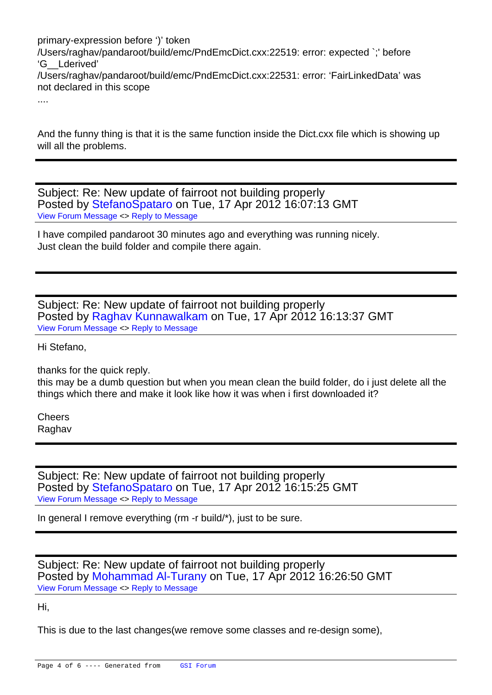primary-expression before ')' token /Users/raghav/pandaroot/build/emc/PndEmcDict.cxx:22519: error: expected `;' before 'G\_\_Lderived' /Users/raghav/pandaroot/build/emc/PndEmcDict.cxx:22531: error: 'FairLinkedData' was not declared in this scope ....

And the funny thing is that it is the same function inside the Dict.cxx file which is showing up will all the problems.

Subject: Re: New update of fairroot not building properly Posted by StefanoSpataro on Tue, 17 Apr 2012 16:07:13 GMT View Forum Message <> Reply to Message

I have compiled pandaroot 30 minutes ago and everything was running nicely. Just clean t[he build folder and c](https://forum.gsi.de/index.php?t=usrinfo&id=306)ompile there again.

Subject: Re: New update of fairroot not building properly Posted by Raghav Kunnawalkam on Tue, 17 Apr 2012 16:13:37 GMT View Forum Message <> Reply to Message

Hi Stefano,

[thanks for the quic](https://forum.gsi.de/index.php?t=rview&th=3529&goto=13362#msg_13362)k r[eply.](https://forum.gsi.de/index.php?t=post&reply_to=13362) 

this may be a dumb question but when you mean clean the build folder, do i just delete all the things which there and make it look like how it was when i first downloaded it?

**Cheers** Raghav

Subject: Re: New update of fairroot not building properly Posted by StefanoSpataro on Tue, 17 Apr 2012 16:15:25 GMT View Forum Message <> Reply to Message

In general I remove everything (rm -r build/\*), just to be sure.

Subject: Re: New update of fairroot not building properly Posted by Mohammad Al-Turany on Tue, 17 Apr 2012 16:26:50 GMT View Forum Message <> Reply to Message

Hi,

[This is due to the l](https://forum.gsi.de/index.php?t=rview&th=3529&goto=13364#msg_13364)ast [changes\(we re](https://forum.gsi.de/index.php?t=post&reply_to=13364)move some classes and re-design some),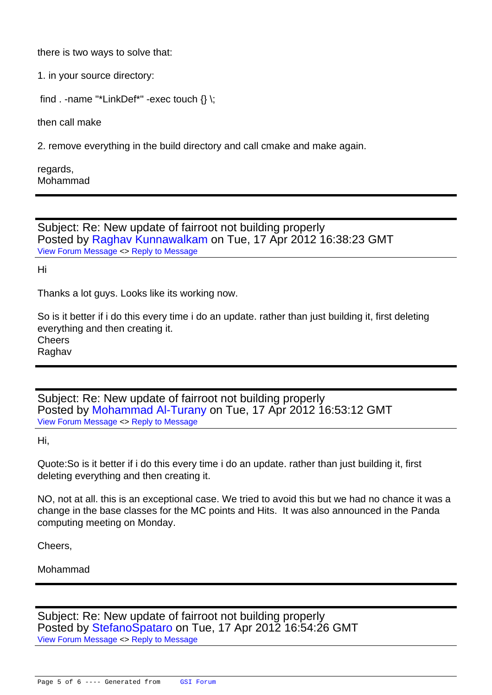there is two ways to solve that:

1. in your source directory:

find . -name "\*LinkDef\*" -exec touch  $\{\}\$ ;

then call make

2. remove everything in the build directory and call cmake and make again.

regards, Mohammad

Subject: Re: New update of fairroot not building properly Posted by Raghav Kunnawalkam on Tue, 17 Apr 2012 16:38:23 GMT View Forum Message <> Reply to Message

Hi

[Thanks a lot guys.](https://forum.gsi.de/index.php?t=rview&th=3529&goto=13365#msg_13365) L[ooks like its work](https://forum.gsi.de/index.php?t=post&reply_to=13365)ing now.

So is it better if i do this every time i do an update. rather than just building it, first deleting everything and then creating it. Cheers

Raghav

Subject: Re: New update of fairroot not building properly Posted by Mohammad Al-Turany on Tue, 17 Apr 2012 16:53:12 GMT View Forum Message <> Reply to Message

Hi,

[Quote:So is it bette](https://forum.gsi.de/index.php?t=rview&th=3529&goto=13366#msg_13366)r i[f i do this every](https://forum.gsi.de/index.php?t=post&reply_to=13366) time i do an update. rather than just building it, first deleting everything and then creating it.

NO, not at all. this is an exceptional case. We tried to avoid this but we had no chance it was a change in the base classes for the MC points and Hits. It was also announced in the Panda computing meeting on Monday.

Cheers,

Mohammad

Subject: Re: New update of fairroot not building properly Posted by StefanoSpataro on Tue, 17 Apr 2012 16:54:26 GMT View Forum Message <> Reply to Message